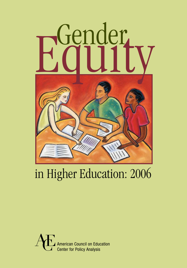

## in Higher Education: 2006

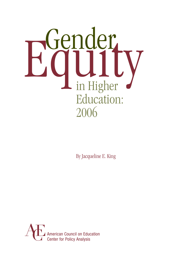

By Jacqueline E. King

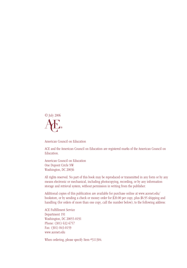

American Council on Education

ACE and the American Council on Education are registered marks of the American Council on Education.

American Council on Education One Dupont Circle NW Washington, DC 20036

All rights reserved. No part of this book may be reproduced or transmitted in any form or by any means electronic or mechanical, including photocopying, recording, or by any information storage and retrieval system, without permission in writing from the publisher.

Additional copies of this publication are available for purchase online at www.acenet.edu/ bookstore, or by sending a check or money order for \$20.00 per copy, plus \$6.95 shipping and handling (for orders of more than one copy, call the number below), to the following address:

ACE Fulfillment Service Department 191 Washington, DC 20055-0191 Phone: (301) 632-6757 Fax: (301) 843-0159 www.acenet.edu

When ordering, please specify Item #311304.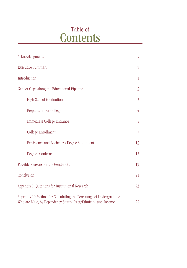## Table of **Contents**

| Acknowledgments                                                                                                                        | iv             |  |  |
|----------------------------------------------------------------------------------------------------------------------------------------|----------------|--|--|
| <b>Executive Summary</b>                                                                                                               | V              |  |  |
| Introduction                                                                                                                           | 1              |  |  |
| Gender Gaps Along the Educational Pipeline                                                                                             | $\overline{3}$ |  |  |
| High School Graduation                                                                                                                 | $\overline{3}$ |  |  |
| Preparation for College                                                                                                                | 4              |  |  |
| Immediate College Entrance                                                                                                             | 5              |  |  |
| College Enrollment                                                                                                                     | 7              |  |  |
| Persistence and Bachelor's Degree Attainment                                                                                           | 13             |  |  |
| Degrees Conferred                                                                                                                      | 15             |  |  |
| Possible Reasons for the Gender Gap                                                                                                    | 19             |  |  |
| Conclusion                                                                                                                             | 21             |  |  |
| Appendix I: Questions for Institutional Research                                                                                       | 23             |  |  |
| Appendix II: Method for Calculating the Percentage of Undergraduates<br>Who Are Male, by Dependency Status, Race/Ethnicity, and Income |                |  |  |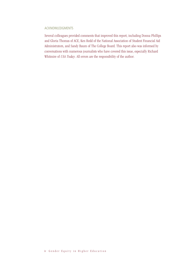#### Acknowledgments

Several colleagues provided comments that improved this report, including Donna Phillips and Gloria Thomas of ACE, Ken Redd of the National Association of Student Financial Aid Administrators, and Sandy Baum of The College Board. This report also was informed by conversations with numerous journalists who have covered this issue, especially Richard Whitmire of *USA Today*. All errors are the responsibility of the author.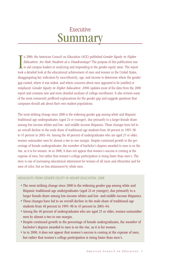### Executive Summary

In 2000, the American Council on Education (ACE) published *Gender Equity in Higher Education: Are Male Students at a Disadvantage?* The purpose of this publication was to aid campus leaders in analyzing and responding to n 2000, the American Council on Education (ACE) published *Gender Equity in Higher Education: Are Male Students at a Disadvantage?* The purpose of this publication was  $\overline{\phantom{a}}$  to aid campus leaders in analyzing and responding to the gender equity issue. The report disaggregating key indicators by race/ethnicity, age, and income to determine where the gender gap existed, where it was widest, and where concerns about men appeared to be justified or misplaced. *Gender Equity in Higher Education: 2006* updates most of the data from the 2000 report and contains new and more detailed analyses of college enrollment. It also reviews some of the most commonly proffered explanations for the gender gap and suggests questions that campuses should ask about their own student populations.

The most striking change since 2000 is the widening gender gap among white and Hispanic traditional-age undergraduates (aged 24 or younger), due primarily to a larger female share among low-income whites and low- and middle-income Hispanics. These changes have led to an overall decline in the male share of traditional-age students from 48 percent in 1995–96 to 45 percent in 2003–04. Among the 40 percent of undergraduates who are aged 25 or older, women outnumber men by almost a two to one margin. Despite continued growth in the percentage of female undergraduates, the *number* of bachelor's degrees awarded to men is on the rise, as it is for women. As in 2000, it does not appear that women's success is coming at the expense of men, but rather that women's college participation is rising faster than men's. The story is one of increasing educational attainment for women of all races and ethnicities and for men of color, but no less attainment by white men.

#### Highlights from *Gender Equity in Higher Education: 2006*

- The most striking change since 2000 is the widening gender gap among white and Hispanic traditional-age undergraduates (aged 24 or younger), due primarily to a larger female share among low-income whites and low- and middle-income Hispanics.
- These changes have led to an overall decline in the male share of traditional-age students from 48 percent in 1995–96 to 45 percent in 2003–04.
- Among the 40 percent of undergraduates who are aged 25 or older, women outnumber men by almost a two to one margin.
- Despite continued growth in the percentage of female undergraduates, the *number* of bachelor's degrees awarded to men is on the rise, as it is for women.
- As in 2000, it does not appear that women's success is coming at the expense of men, but rather that women's college participation is rising faster than men's.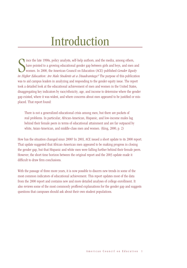## Introduction

Since the late 1990s, policy analysts, self-help authors, and the media, among others, have pointed to a growing educational gender gap between girls and boys, and men and women. In 2000, the American Council on Education ince the late 1990s, policy analysts, self-help authors, and the media, among others, have pointed to a growing educational gender gap between girls and boys, and men and women. In 2000, the American Council on Education (ACE) published *Gender Equity*  was to aid campus leaders in analyzing and responding to the gender equity issue. The report took a detailed look at the educational achievement of men and women in the United States, disaggregating key indicators by race/ethnicity, age, and income to determine where the gender gap existed, where it was widest, and where concerns about men appeared to be justified or misplaced. That report found:

There is not a generalized educational crisis among men, but there are pockets of real problems. In particular, African-American, Hispanic, and low-income males lag behind their female peers in terms of educational attainment and are far outpaced by white, Asian-American, and middle-class men and women. (King, 2000, p. 2)

How has the situation changed since 2000? In 2003, ACE issued a short update to its 2000 report. That update suggested that African-American men appeared to be making progress in closing the gender gap, but that Hispanic and white men were falling further behind their female peers. However, the short time horizon between the original report and the 2003 update made it difficult to draw firm conclusions.

With the passage of three more years, it is now possible to discern new trends in some of the most common indicators of educational achievement. This report updates most of the data from the 2000 report and contains new and more detailed analyses of college enrollment. It also reviews some of the most commonly proffered explanations for the gender gap and suggests questions that campuses should ask about their own student populations.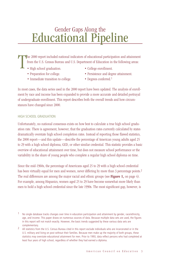### Gender Gaps Along the Educational Pipeline

T he 2000 report included national indicators of educational participation and attainment from the U.S. Census Bureau and U.S. Department of Education in the following areas:

- High school graduation. College enrollment.
- 
- Immediate transition to college. Degrees conferred.<sup>1</sup>
- 
- Preparation for college. Persistence and degree attainment.
	-

In most cases, the data series used in the 2000 report have been updated. The analysis of enrollment by race and income has been expanded to provide a more accurate and detailed portrayal of undergraduate enrollment. This report describes both the overall trends and how circumstances have changed since 2000.

#### High School Graduation

Unfortunately, no national consensus exists on how best to calculate a true high school graduation rate. There is agreement, however, that the graduation rates currently calculated by states dramatically overstate high school completion rates. Instead of reporting those flawed statistics, the 2000 report—and this update—describe the percentage of American young adults aged 25 to 29 with a high school diploma, GED, or other similar credential. This statistic provides a basic overview of educational attainment over time, but does not measure school performance or the variability in the share of young people who complete a regular high school diploma on time.

Since the mid-1960s, the percentage of Americans aged 25 to 29 with a high school credential has been virtually equal for men and women, never differing by more than 3 percentage points.<sup>2</sup> The real differences are among the major racial and ethnic groups (see **Figure 1,** on page 4). For example, among Hispanics, women aged 25 to 29 have become somewhat more likely than men to hold a high school credential since the late 1990s. The most significant gap, however, is

 $1$  No single database tracks changes over time in education participation and attainment by gender, race/ethnicity, age, and income. This paper draws on numerous sources of data. Because multiple data sets are used, the figures in this report will not match exactly. However, the basic trends suggested by these various data sets are complementary.

<sup>2</sup> All statistics from the U.S. Census Bureau cited in this report exclude individuals who are incarcerated or in the U.S. military and living on post without their families. Because men make up the majority of both groups, these statistics may overstate educational attainment for men. Prior to 1993, data reflect persons who had completed at least four years of high school, regardless of whether they had earned a diploma.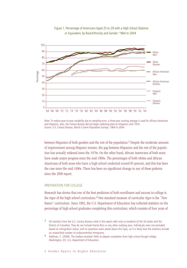

Figure 1. Percentage of Americans Aged 25 to 29 with a High School Diploma or Equivalent, by Race/Ethnicity and Gender: 1964 to 2004

Note: To reduce year-to-year variability due to sampling error, a three-year running average is used for African Americans and Hispanics. Also, the Census Bureau did not begin collecting data on Hispanics until 1974. Source: U.S. Census Bureau, March Current Population Surveys: 1964 to 2004.

between Hispanics of both genders and the rest of the population.<sup>3</sup> Despite the moderate amount of improvement among Hispanic women, the gap between Hispanics and the rest of the population has actually widened since the 1970s. On the other hand, African Americans of both sexes have made major progress since the mid-1960s. The percentages of both whites and African Americans of both sexes who have a high school credential exceed 85 percent, and this has been the case since the mid-1990s. There has been no significant change in any of these patterns since the 2000 report.

#### Preparation for College

Research has shown that one of the best predictors of both enrollment and success in college is the rigor of the high school curriculum.<sup>4</sup> One standard measure of curricular rigor is the "New Basics" curriculum. Since 1982, the U.S. Department of Education has collected statistics on the percentage of high school graduates completing this curriculum, which consists of four years of

<sup>3</sup> All statistics from the U.S. Census Bureau cited in this report refer only to residents of the 50 states and the District of Columbia. They do not include Puerto Rico or any other outlying area. Individuals were not excluded based on immigration status, and no questions were asked about this topic, so it is likely that the statistics include an unspecified number of undocumented immigrants.

Adelman, C. (2006). *The toolbox revisited: Paths to degree completion from high school though college*. Washington, DC: U.S. Department of Education.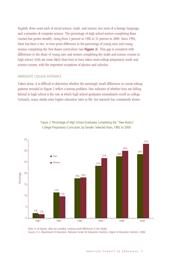English; three years each of social science, math, and science; two years of a foreign language; and a semester of computer science. The percentage of high school seniors completing these courses has grown steadily, rising from 2 percent in 1982 to 31 percent in 2000. Since 1994, there has been a two- to four-point difference in the percentage of young men and young women completing the New Basics curriculum (see Figure 2). This gap is consistent with differences in the share of young men and women completing key math and science courses in high school. Girls are more likely than boys to have taken most college preparatory math and science courses, with the important exceptions of physics and calculus.

#### Immediate College Entrance

Taken alone, it is difficult to determine whether the seemingly small differences in course-taking patterns revealed in Figure 2 reflect a serious problem. One indicator of whether boys are falling behind in high school is the rate at which high school graduates immediately enroll in college. Certainly, many adults enter higher education later in life, but research has consistently shown



Figure 2. Percentage of High School Graduates Completing the "New Basics" College Preparatory Curriculum, by Gender: Selected Years, 1982 to 2000

*Digest of Education Statistics: 2004.* Source: U.S. Department of Education, National Center for Education Statistics, *Digest of Education Statistics: 2004.*

Note: In all figures, data are rounded, creating small differences in bar height.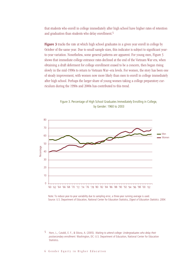that students who enroll in college immediately after high school have higher rates of retention and graduation than students who delay enrollment.

Figure 3 tracks the rate at which high school graduates in a given year enroll in college by October of the same year. Due to small sample sizes, this indicator is subject to significant yearto-year variation. Nonetheless, some general patterns are apparent. For young men, Figure 3 shows that immediate college entrance rates declined at the end of the Vietnam War era, when obtaining a draft deferment for college enrollment ceased to be a concern, then began rising slowly in the mid-1990s to return to Vietnam War–era levels. For women, the story has been one of steady improvement, with women now more likely than men to enroll in college immediately after high school. Perhaps the larger share of young women taking a college preparatory curriculum during the 1990s and 2000s has contributed to this trend.



Figure 3. Percentage of High School Graduates Immediately Enrolling in College, by Gender: 1960 to 2003

Note: To reduce year-to-year variability due to sampling error, a three-year running average is used. Source: U.S. Department of Education, National Center for Education Statistics, *Digest of Education Statistics: 2004.*

5 Horn, L., Cataldi, E. F., & Sikora, A. (2005). *Waiting to attend college: Undergraduates who delay their postsecondary enrollment.* Washington, DC: U.S. Department of Education, National Center for Education Statistics.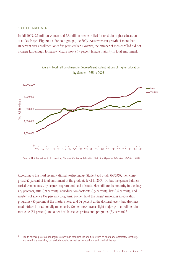#### College Enrollment

In fall 2003, 9.6 million women and 7.3 million men enrolled for credit in higher education at all levels (see Figure 4). For both groups, the 2003 levels represent growth of more than 10 percent over enrollment only five years earlier. However, the number of men enrolled did not increase fast enough to narrow what is now a 57 percent female majority in total enrollment.



Figure 4. Total Fall Enrollment in Degree-Granting Institutions of Higher Education, by Gender: 1965 to 2003

Source: U.S. Department of Education, National Center for Education Statistics, *Digest of Education Statistics: 2004.*

According to the most recent National Postsecondary Student Aid Study (NPSAS), men comprised 42 percent of total enrollment at the graduate level in 2003–04, but the gender balance varied tremendously by degree program and field of study. Men still are the majority in theology (77 percent), MBA (59 percent), noneducation doctorate (55 percent), law (54 percent), and master's of science (52 percent) programs. Women hold the largest majorities in education programs (80 percent at the master's level and 64 percent at the doctoral level), but also have made strides in traditionally male fields. Women now have a slight majority in enrollment in medicine (51 percent) and other health science professional programs (53 percent).

<sup>6</sup> Health science professional degrees other than medicine include fields such as pharmacy, optometry, dentistry, and veterinary medicine, but exclude nursing as well as occupational and physical therapy.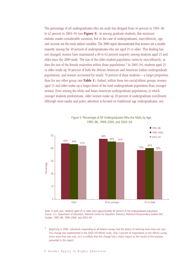The percentage of all undergraduates who are male has dropped from 44 percent in 1995–96 to 42 percent in 2003–04 (see **Figure 5**). As among graduate students, this summary statistic masks considerable variation, but in the case of undergraduates, race/ethnicity, age, and income are the more salient variables. The 2000 report demonstrated that women are a sizable majority among the 40 percent of undergraduates who are aged 25 or older. This finding has not changed; women have maintained a 60 to 62 percent majority among students aged 25 and older since the 2000 study. The size of the older student population varies by race/ethnicity, as does the size of the female majorities within those populations.<sup>7</sup> In 2003–04, students aged 25 or older made up 50 percent of both the African-American and American Indian undergraduate populations, and women accounted for nearly 70 percent of these students—a larger proportion than for any other group (see Table 1). Indeed, within these two racial/ethnic groups, women aged 25 and older make up a larger share of the total undergraduate population than younger women. Even among the white and Asian-American undergraduate populations, in which younger students predominate, older women make up 20 percent of undergraduate enrollment. Although most media and policy attention is focused on traditional-age undergraduates, any



Figure 5: Percentage of All Undergraduates Who Are Male, by Age: 1995–96, 1999–2000, and 2003–04

Note: In each year, students aged 25 or older were approximately 40 percent of the undergraduate population. Note: In each year, students aged 25 or older were approximately 40 percent of the undergraduate population. Source: U.S. Department of Education, National Center for Education Statistics, National Postsecondary Source: U.S. Department of Education, National Center for Education Statistics, National Postsecondary Student Aid Studies: 1995–96, 1999–2000, and 2003–04.

 $7^{\circ}$ Beginning in 2000, individuals responding to all federal surveys had the option of selecting more than one race. This change was implemented in the 2003–04 NPSAS study. Only 2 percent of respondents to this NPSAS survey chose more than one race, so it is unlikely that this change had a major impact on the results of the analyses presented in this report.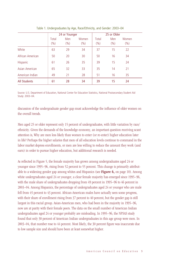|                     | 24 or Younger |             |               |               | 25 or Older |                |  |
|---------------------|---------------|-------------|---------------|---------------|-------------|----------------|--|
|                     | Total<br>(%)  | Men<br>(% ) | Women<br>(% ) | Total<br>(% ) | Men<br>(% ) | Women<br>(9/6) |  |
| White               | 63            | 29          | 34            | 37            | 15          | 22             |  |
| African American    | 50            | 20          | 30            | 50            | 16          | 34             |  |
| Hispanic            | 61            | 26          | 35            | 39            | 15          | 24             |  |
| Asian American      | 65            | 32          | 33            | 35            | 14          | 21             |  |
| American Indian     | 49            | 21          | 28            | 51            | 16          | 35             |  |
| <b>All Students</b> | 61            | 28          | 34            | 39            | 15          | 24             |  |

Table 1. Undergraduates by Age, Race/Ethnicity, and Gender: 2003–04

Source: U.S. Department of Education, National Center for Education Statistics, National Postsecondary Student Aid Study: 2003–04.

discussion of the undergraduate gender gap must acknowledge the influence of older women on the overall trends.

Men aged 25 or older represent only 15 percent of undergraduates, with little variation by race/ ethnicity. Given the demands of the knowledge economy, an important question receiving scant attention is, Why are men less likely than women to enter (or re-enter) higher education later in life? Perhaps the higher salaries that men of all education levels continue to command in the labor market depress enrollments, or men are less willing to reduce the amount they work (and earn) in order to pursue higher education, but additional research is needed.

As reflected in Figure 5, the female majority has grown among undergraduates aged 24 or younger since 1995–96, rising from 52 percent to 55 percent. This change is primarily attributable to a widening gender gap among whites and Hispanics (see Figure 6, on page 10). Among white undergraduates aged 24 or younger, a clear female majority has emerged since 1995–96, with the male share of undergraduates dropping from 49 percent in 1995–96 to 46 percent in 2003–04. Among Hispanics, the percentage of undergraduates aged 24 or younger who are male fell from 45 percent to 43 percent. African-American males have actually seen some progress, with their share of enrollment rising from 37 percent to 40 percent, but the gender gap is still largest in this racial group. Asian-American men, who had been in the majority in 1995–96, now are at parity with their female peers. The data on the small number of American Indian undergraduates aged 24 or younger probably are misleading. In 1995–96, the NPSAS study found that only 30 percent of American Indian undergraduates in this age group were men. In 2003–04, that number rose to 44 percent. Most likely, the 30 percent figure was inaccurate due to low sample size and should have been at least somewhat higher.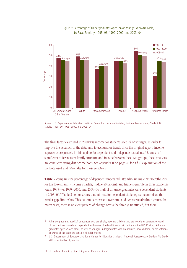

#### Figure 6: Percentage of Undergraduates Aged 24 or Younger Who Are Male, by Race/Ethnicity: 1995–96, 1999–2000, and 2003–04

Source: U.S. Department of Education, National Center for Education Statistics, National Postsecondary Source: U.S. Department of Education, National Center for Education Statistics, National Postsecondary Student Aid Studies: 1995–96, 1999–2000, and 2003–04.

The final factor examined in 2000 was income for students aged 24 or younger. In order to improve the accuracy of the data, and to account for trends since the original report, income is presented separately in this update for dependent and independent students.<sup>8</sup> Because of significant differences in family structure and income between these two groups, these analyses are conducted using distinct methods. See Appendix II on page 25 for a full explanation of the methods used and rationales for those selections.

Table 2 compares the percentage of dependent undergraduates who are male by race/ethnicity for the lowest family income quartile, middle 50 percent, and highest quartile in three academic years: 1995–96, 1999–2000, and 2003–04. Half of all undergraduates were dependent students in 2003–04.<sup>9</sup> Table 2 demonstrates that, at least for dependent students, as income rises, the gender gap diminishes. This pattern is consistent over time and across racial/ethnic groups. In many cases, there is no clear pattern of change across the three years studied, but there

<sup>8</sup> All undergraduates aged 24 or younger who are single, have no children, and are not either veterans or wards of the court are considered dependent in the eyes of federal financial aid policy and the NPSAS study. All undergraduates aged 25 and older, as well as younger undergraduates who are married, have children, or are veterans or wards of the court are considered independent.

U.S. Department of Education, National Center for Education Statistics. National Postsecondary Student Aid Study: 2003–04. Analysis by author.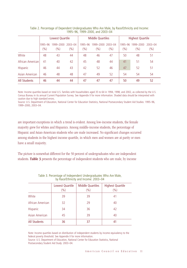|                     | Lowest Quartile |                  |                    | <b>Middle Quartiles</b> |                  |                    | <b>Highest Quartile</b> |                  |                      |
|---------------------|-----------------|------------------|--------------------|-------------------------|------------------|--------------------|-------------------------|------------------|----------------------|
|                     | 1995–96<br>(%)  | 1999-2000<br>(%) | $2003 - 04$<br>(%) | 1995–96<br>$(\% )$      | 1999-2000<br>(%) | 2003-04<br>$(\% )$ | 1995–96<br>(%)          | 1999-2000<br>(%) | $2003 - 04$<br>(9/6) |
| White               | 48              | 43               | 44                 | 48                      | 46               | 47                 | 50                      | 48               | 51                   |
| African American    | 41              | 40               | 42                 | 45                      | 48               | 44                 | 41                      | 51               | 54                   |
| <b>Hispanic</b>     | 46              | 44               | 43                 | 42                      | 52               | 46                 | 47                      | 52               | 51                   |
| Asian American      | 46              | 48               | 48                 | 47                      | 49               | 52                 | 54                      | 54               | 54                   |
| <b>All Students</b> | 46              | 44               | 44                 | 47                      | 47               | 47                 | 50                      | 49               | 52                   |

| Table 2. Percentage of Dependent Undergraduates Who Are Male, by Race/Ethnicity and Income: |
|---------------------------------------------------------------------------------------------|
| 1995-96, 1999-2000, and 2003-04                                                             |

Note: Income quartiles based on total U.S. families with householders aged 35 to 64 in 1994, 1998, and 2002, as collected by the U.S. Census Bureau in its annual Current Population Survey. See Appendix II for more information. Shaded data should be interpreted with caution due to high standard errors.

Source: U.S. Department of Education, National Center for Education Statistics, National Postsecondary Student Aid Studies: 1995–96, 1999–2000, 2003–04.

are important exceptions in which a trend is evident. Among low-income students, the female majority grew for whites and Hispanics. Among middle-income students, the percentage of Hispanic and Asian-American students who are male increased. No significant changes occurred among students in the highest income quartile, in which men and women are at parity or men have a small majority.

The picture is somewhat different for the 50 percent of undergraduates who are independent students. Table 3 presents the percentage of independent students who are male, by income

|                     | Lowest Quartile<br>(% ) | <b>Middle Quartiles</b><br>$(\% )$ | <b>Highest Quartile</b><br>(%) |
|---------------------|-------------------------|------------------------------------|--------------------------------|
| White               | 39                      | 39                                 | 41                             |
| African American    | 32                      | 29                                 | 40                             |
| Hispanic            | 34                      | 36                                 | 42                             |
| Asian American      | 45                      | 39                                 | 40                             |
| <b>All Students</b> | 36                      | 37                                 | 41                             |

Table 3. Percentage of Independent Undergraduates Who Are Male, by Race/Ethnicity and Income: 2003–04

Note: Income quartiles based on distribution of independent students by income equivalency to the federal poverty threshold. See Appendix II for more information.

Source: U.S. Department of Education, National Center for Education Statistics, National Postsecondary Student Aid Study: 2003–04.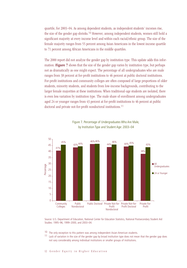quartile, for 2003–04. As among dependent students, as independent students' incomes rise, the size of the gender gap shrinks.<sup>10</sup> However, among independent students, women still hold a significant majority at every income level and within each racial/ethnic group. The size of the female majority ranges from 55 percent among Asian Americans in the lowest income quartile to 71 percent among African Americans in the middle quartiles.

The 2000 report did not analyze the gender gap by institution type. This update adds this information. **Figure** 7 shows that the size of the gender gap varies by institution type, but perhaps not as dramatically as one might expect. The percentage of all undergraduates who are male ranges from 38 percent at for-profit institutions to 46 percent at public doctoral institutions. For-profit institutions and community colleges are often composed of large proportions of older students, minority students, and students from low-income backgrounds, contributing to the larger female majorities at these institutions. When traditional-age students are isolated, there is even less variation by institution type. The male share of enrollment among undergraduates aged 24 or younger ranges from 43 percent at for-profit institutions to 46 percent at public doctoral and private not-for-profit nondoctoral institutions.11



Figure 7. Percentage of Undergraduates Who Are Male, by Institution Type and Student Age: 2003–04

Source: U.S. Department of Education, National Center for Education Statistics, National Postsecondary Source: U.S. Department of Education, National Center for Education Statistics, National Postsecondary Student Aid Student Aid Studies: 1995–96, 1999–2000, and 2003–04. Studies: 1995–96, 1999–2000, and 2003–04.

 $10$  The only exception to this pattern was among independent Asian-American students.

11 Lack of variation in the size of the gender gap by broad institution type does not mean that the gender gap does not vary considerably among individual institutions or smaller groups of institutions.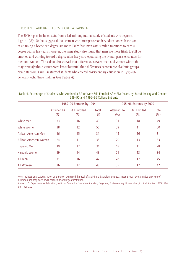#### Persistence and Bachelor's Degree Attainment

The 2000 report included data from a federal longitudinal study of students who began college in 1989–90 that suggested that women who enter postsecondary education with the goal of attaining a bachelor's degree are more likely than men with similar ambitions to earn a degree within five years. However, the same study also found that men are more likely to still be enrolled and working toward a degree after five years, equalizing the overall persistence rates for men and women. These data also showed that differences between men and women within the major racial/ethnic groups were less substantial than differences between racial/ethnic groups. New data from a similar study of students who entered postsecondary education in 1995–96 generally echo these findings (see Table 4).

|                        | 1989-90 Entrants by 1994      |                        |                  | 1995-96 Entrants by 2000   |                       |               |  |
|------------------------|-------------------------------|------------------------|------------------|----------------------------|-----------------------|---------------|--|
|                        | <b>Attained BA</b><br>$(\% )$ | Still Enrolled<br>(% ) | Total<br>$(\% )$ | <b>Attained BA</b><br>(% ) | Still Enrolled<br>(%) | Total<br>(% ) |  |
| White Men              | 33                            | 16                     | 49               | 31                         | 18                    | 49            |  |
| White Women            | 38                            | 12                     | 50               | 39                         | 11                    | 50            |  |
| African-American Men   | 16                            | 15                     | 31               | 15                         | 16                    | 31            |  |
| African-American Women | 24                            | 11                     | 35               | 20                         | 13                    | 33            |  |
| Hispanic Men           | 19                            | 12                     | 31               | 18                         | 11                    | 28            |  |
| Hispanic Women         | 29                            | 14                     | 43               | 21                         | 13                    | 34            |  |
| All Men                | 31                            | 16                     | 47               | 28                         | 17                    | 45            |  |
| All Women              | 36                            | 12                     | 48               | 35                         | 12                    | 47            |  |

Table 4. Percentage of Students Who Attained a BA or Were Still Enrolled After Five Years, by Race/Ethnicity and Gender: 1989–90 and 1995–96 College Entrants

Note: Includes only students who, at entrance, expressed the goal of attaining a bachelor's degree. Students may have attended any type of institution and may have never enrolled at a four-year institution.

Source: U.S. Department of Education, National Center for Education Statistics, Beginning Postsecondary Students Longitudinal Studies: 1989/1994 and 1995/2001.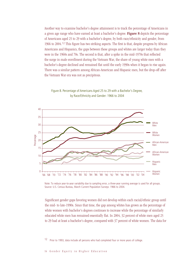Another way to examine bachelor's degree attainment is to track the percentage of Americans in a given age range who have earned at least a bachelor's degree. Figure 8 depicts the percentage of Americans aged 25 to 29 with a bachelor's degree, by both race/ethnicity and gender, from 1966 to 2004.12 This figure has two striking aspects. The first is that, despite progress by African Americans and Hispanics, the gaps between these groups and whites are larger today than they were in the 1960s and 70s. The second is that, after a spike in the mid-1970s that reflected the surge in male enrollment during the Vietnam War, the share of young white men with a bachelor's degree declined and remained flat until the early 1990s when it began to rise again. There was a similar pattern among African-American and Hispanic men, but the drop-off after the Vietnam War era was not as precipitous.





Note: To reduce year-to-year variability due to sampling error, a three-year running average is used for all groups. Source: U.S. Census Bureau, March Current Population Surveys: 1966 to 2004.

Significant gender gaps favoring women did not develop within each racial/ethnic group until the mid- to late-1990s. Since that time, the gap among whites has grown as the percentage of white women with bachelor's degrees continues to increase while the percentage of similarly educated white men has remained essentially flat. In 2004, 32 percent of white men aged 25 to 29 had at least a bachelor's degree, compared with 37 percent of white women. The data for

12 Prior to 1993, data include all persons who had completed four or more years of college.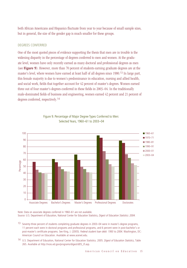both African Americans and Hispanics fluctuate from year to year because of small sample sizes, but in general, the size of the gender gap is much smaller for these groups.

#### Degrees Conferred

One of the most quoted pieces of evidence supporting the thesis that men are in trouble is the widening disparity in the percentage of degrees conferred to men and women. At the graduate level, women have only recently earned as many doctoral and professional degrees as men (see Figure 9). However, more than 70 percent of students earning graduate degrees are at the master's level, where women have earned at least half of all degrees since 1980.13 In large part, this female majority is due to women's predominance in education, nursing and allied health, and social work, fields that together account for 42 percent of master's degrees. Women earned three out of four master's degrees conferred in these fields in 2003–04. In the traditionally male-dominated fields of business and engineering, women earned 42 percent and 21 percent of degrees conferred, respectively.14



Figure 9. Percentage of Major Degree Types Conferred to Men: Selected Years, 1960–61 to 2003–04

Note: Data on associate degrees conferred in 1960–61 are not available. Note: Data on associate degrees conferred in 1960–61 are not available. Source: U.S. Department of Education, National Center for Education Statistics, Source: U.S. Department of Education, National Center for Education Statistics, *Digest of Education Statistics: 2004.*

13 Seventy-three percent of students completing graduate degrees in 2003–04 were in master's degree programs, 11 percent each were in doctoral programs and professional programs, and 6 percent were in post-bachelor's or post-master's certificate programs. See King, J. (2005). *Federal student loan debt: 1993 to 2004*. Washington, DC: American Council on Education. Available at www.acenet.edu.

14 U.S. Department of Education, National Center for Education Statistics. 2005. *Digest of Education Statistics*, Table 265. Available at http://nces.ed.gov/programs/digest/d05\_tf.asp.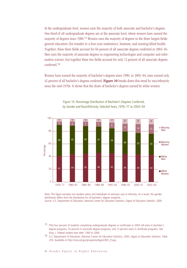At the undergraduate level, women earn the majority of both associate and bachelor's degrees. One-third of all undergraduate degrees are at the associate level, where women have earned the majority of degrees since 1980.15 Women earn the majority of degrees in the three largest fields: general education (for transfer to a four-year institution), business, and nursing/allied health. Together, these three fields account for 66 percent of all associate degrees conferred in 2003–04. Men earn the majority of associate degrees in engineering technologies and computer and information science, but together these two fields account for only 12 percent of all associate degrees conferred.16

Women have earned the majority of bachelor's degrees since 1990; in 2003–04, men earned only 42 percent of all bachelor's degrees conferred. Figure 10 breaks down this trend by race/ethnicity since the mid-1970s. It shows that the share of bachelor's degrees earned by white women



Figure 10. Percentage Distribution of Bachelor's Degrees Conferred, by Gender and Race/Ethnicity: Selected Years, 1976–77 to 2003–04

Note: This figure excludes non-resident aliens and individuals of unknown race or ethnicity. As a result, this gender aistribution differs from the distribution for an bachelor s degree recipients.<br>Source: U.S. Department of Education, National Center for Education Statistics, *Digest of Education Statistics: 2004.* distribution differs from the distribution for all bachelor's degree recipients.

15 Fifty-four percent of students completing undergraduate degrees or certificates in 2003–04 were in bachelor's degree programs, 33 percent in associate degree programs, and 13 percent were in certificate programs. See King, J. *Federal student loan debt: 1993 to 2004.*

16 U.S. Department of Education, National Center for Education Statistics. 2005. *Digest of Education Statistics,* Table 259. Available at http://nces.ed.gov/programs/digest/d05\_tf.asp.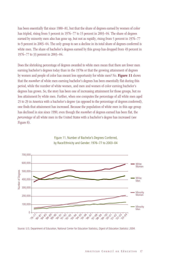has been essentially flat since 1980–81, but that the share of degrees earned by women of color has tripled, rising from 5 percent in 1976–77 to 15 percent in 2003–04. The share of degrees earned by minority men also has gone up, but not as rapidly, rising from 5 percent in 1976–77 to 9 percent in 2003–04. The only group to see a decline in its total share of degrees conferred is white men. The share of bachelor's degrees earned by this group has dropped from 49 percent in 1976–77 to 33 percent in 2003–04.

Does the shrinking percentage of degrees awarded to white men mean that there are fewer men earning bachelor's degrees today than in the 1970s or that the growing attainment of degrees by women and people of color has meant less opportunity for white men? No. Figure 11 shows that the *number* of white men earning bachelor's degrees has been essentially flat during this period, while the number of white women, and men and women of color earning bachelor's degrees has grown. So, the story has been one of increasing attainment for those groups, but no less attainment by white men. Further, when one computes the percentage of all white men aged 25 to 29 in America with a bachelor's degree (as opposed to the percentage of degrees conferred), one finds that attainment has increased. Because the population of white men in this age group has declined in size since 1990, even though the *numbe*r of degrees earned has been flat, the *percentage* of all white men in the United States with a bachelor's degree has increased (see Figure 8).



Figure 11. Number of Bachelor's Degrees Conferred, by Race/Ethnicity and Gender: 1976–77 to 2003–04

Source: U.S. Department of Education, National Center for Education Statistics, *Digest of Education Statistics: 2004.*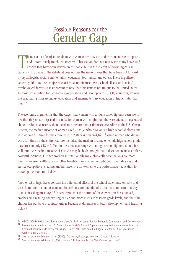### Possible Reasons for the Gender Gap

There is a lot of conjecture about why women are now the majority on college campuses and unfortunately much less research. This section does not review the many books an articles that have been written on this topic, but here is a lot of conjecture about why women are now the majority on college campuses, and unfortunately much less research. This section does not review the many books and articles that have been written on this topic, but in the interest of providing college by psychologists, social commentators, educators, journalists, and others. These hypotheses generally fall into three major categories: economic incentives, school effects, and social/ psychological factors. It is important to note that this issue is not unique to the United States. In most Organisation for Economic Co-operation and Development (OECD) countries, women are graduating from secondary education and entering tertiary education at higher rates than men.<sup>17</sup>

The economic argument is that the wages that women with a high school diploma earn are so low that they create a special incentive for women who might not otherwise attend college out of choice or due to concerns about academic preparation or finances. According to the U.S. Census Bureau, the median income of women aged 25 to 34 who have only a high school diploma and who worked full time for the entire year in 2004 was only \$24,166.18 When women who did not work full time for the entire year are included, the median income of female high school graduates drops to only \$18,647. Men in the same age range with a high school diploma do not fare well, but their median income of \$30,366 may be high enough that it does not create a similarly powerful incentive. Further, workers in traditionally male blue-collar occupations are more likely to receive health care and other benefits than workers in traditionally female sales and service occupations, creating another incentive for women to use postsecondary education to move up the economic ladder.

Another set of hypotheses concern the differential effects of the school experience on boys and girls. Some commentators contend that schools are intentionally organized and run in a way that is biased against boys.19 Others argue that the nature of the curriculum has changed, emphasizing reading and writing earlier and more intensively across grade levels, and that this change has put boys at a disadvantage because of differences in brain development and learning style.20

<sup>17</sup> OECD. (2004). *Policy brief: Education and equity*. Paris: Organisation for Economic Co-operation and Development.

<sup>18</sup> Income figures are from the U.S. Census Bureau's 2004 Current Population Survey and were retrieved from the Census Bureau web site (www.census.gov). Unless otherwise noted, all figures are for full-time, year-round workers aged 25 to 34.

<sup>19</sup> See, for example, Sommers, C. H. (2000). *The war against boys.* New York: Simon & Schuster.

<sup>20</sup> See, for example, Whitmire, R. (2006, January 23). Boy trouble. *The New Republic,* pp. 15–18.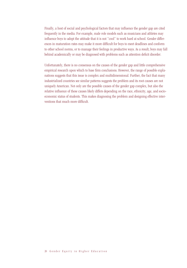Finally, a host of social and psychological factors that may influence the gender gap are cited frequently in the media. For example, male role models such as musicians and athletes may influence boys to adopt the attitude that it is not "cool" to work hard at school. Gender differences in maturation rates may make it more difficult for boys to meet deadlines and conform to other school norms, or to manage their feelings in productive ways. As a result, boys may fall behind academically or may be diagnosed with problems such as attention deficit disorder.

Unfortunately, there is no consensus on the causes of the gender gap and little comprehensive empirical research upon which to base firm conclusions. However, the range of possible explanations suggests that this issue is complex and multidimensional. Further, the fact that many industrialized countries see similar patterns suggests the problem and its root causes are not uniquely American. Not only are the possible causes of the gender gap complex, but also the relative influence of these causes likely differs depending on the race, ethnicity, age, and socioeconomic status of students. This makes diagnosing the problem and designing effective interventions that much more difficult.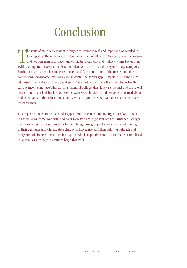# **Conclusion**

The issue of male achievement in higher education is real and important. As detailed in this report, at the undergraduate level, older men of all races, ethnicities, and incomes—and younger men of all races and ethnicities he issue of male achievement in higher education is real and important. As detailed in this report, at the undergraduate level, older men of all races, ethnicities, and incomes and younger men of all races and ethnicities from low- and middle-income backgrounds Further, the gender gap has increased since the 2000 report for one of the most vulnerable populations: low-income traditional-age students. The gender gap is important and should be addressed by educators and policy makers, but it should not obscure the larger disparities that exist by income and race/ethnicity for students of both genders. Likewise, the fact that the rate of degree attainment is rising for both women *and men* should remind everyone concerned about male achievement that education is not a zero-sum game in which women's success results in losses for men.

It is important to examine the gender gap within this context and to target our efforts at reaching those low-income, minority, and older men who are in greatest need of assistance. Colleges and universities can begin this work by identifying those groups of men who are not making it to their campuses and who are struggling once they arrive, and then tailoring outreach and programmatic interventions to their unique needs. The questions for institutional research listed in Appendix I may help institutions begin this work.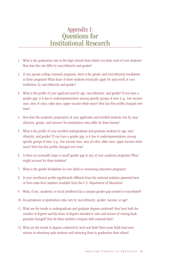### Appendix I: Questions for Institutional Research

- 1. What is the graduation rate in the high schools from which you draw most of your students? How does the rate differ by race/ethnicity and gender?
- 2. If you operate college outreach programs, what is the gender and race/ethnicity breakdown in these programs? What share of these students eventually apply for and enroll at your institution, by race/ethnicity and gender?
- 3. What is the profile of your applicant pool by age, race/ethnicity, and gender? If you have a gender gap, is it due to underrepresentation among specific groups of men (e.g., low-income men, men of color, older men, upper-income white men)? How has this profile changed over time?
- 4. How does the academic preparation of your applicants and enrolled students vary by race/ ethnicity, gender, and income? Do remediation rates differ by these factors?
- 5. What is the profile of your enrolled undergraduate and graduate students by age, race/ ethnicity, and gender? If you have a gender gap, is it due to underrepresentation among specific groups of men (e.g., low-income men, men of color, older men, upper-income white men)? How has this profile changed over time?
- 6. Is there an unusually large or small gender gap in any of your academic programs? What might account for these statistics?
- 7. What is the gender breakdown in your adult or continuing education programs?
- 8. Is your enrollment profile significantly different from the national statistics presented here or from state-level statistics available from the U.S. Department of Education?
- 9. What, if any, academic or social problems has a campus gender gap created or exacerbated?
- 10. Do persistence or graduation rates vary by race/ethnicity, gender, income, or age?
- 11. What are the trends in undergraduate and graduate degrees conferred? How have both the number of degrees and the share of degrees awarded to men and women of varying backgrounds changed? How do these statistics compare with national data?
- 12. What are the trends in degrees conferred by level and field? Have some fields had more success in attracting male students and retaining them to graduation than others?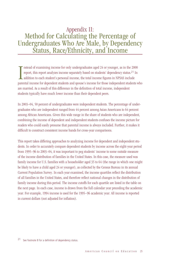### Appendix II: Method for Calculating the Percentage of Undergraduates Who Are Male, by Dependency Status, Race/Ethnicity, and Income

Instead of examining income for only undergraduates aged 24 or younger, as in the 2000 report, this report analyzes income separately based on students' dependency status.<sup>21</sup> In addition to each student's personal income, nstead of examining income for only undergraduates aged 24 or younger, as in the 2000 report, this report analyzes income separately based on students' dependency status.21 In addition to each student's personal income, the total income figures in NPSAS include are married. As a result of this difference in the definition of total income, independent students typically have much lower income than their dependent peers.

In 2003–04, 50 percent of undergraduates were independent students. The percentage of undergraduates who are independent ranged from 44 percent among Asian Americans to 64 percent among African Americans. Given this wide range in the share of students who are independent, combining the income of dependent and independent students confuses the income picture for readers who could easily presume that parental income is always included. Further, it makes it difficult to construct consistent income bands for cross-year comparisons.

This report takes differing approaches to analyzing income for dependent and independent students. In order to accurately compare dependent students by income across the eight-year period from 1995–96 to 2003–04, it was important to peg students' income to some outside measure of the income distribution of families in the United States. In this case, the measure used was family income for U.S. families with a householder aged 35 to 64 (the range in which one might be likely to have a child aged 24 or younger), as collected by the Census Bureau in its annual Current Population Survey. In each year examined, the income quartiles reflect the distribution of all families in the United States, and therefore reflect national changes in the distribution of family income during this period. The income cutoffs for each quartile are listed in the table on the next page. In each case, income is drawn from the full calendar year preceding the academic year. For example, 1994 income is used for the 1995–96 academic year. All income is reported in current dollars (not adjusted for inflation).

21 See footnote 8 for a definition of dependency status.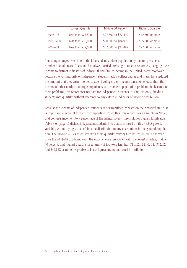|             | Lowest Quartile    | Middle 50 Percent    | <b>Highest Quartile</b> |
|-------------|--------------------|----------------------|-------------------------|
| 1995-96     | Less than \$27,500 | \$27,500 to \$72,499 | \$72,500 or more        |
| 1999-2000   | Less than \$30,000 | \$30,000 to \$84,999 | \$85,000 or more        |
| $2003 - 04$ | Less than \$32,500 | \$32,500 to \$97,499 | \$97,500 or more        |

Analyzing changes over time in the independent student population by income presents a number of challenges. One should analyze married and single students separately, pegging their income to distinct indicators of individual and family income in the United States. Moreover, because the vast majority of independent students lack a college degree and many have reduced the amount that they earn in order to attend college, their income tends to be lower than the income of other adults, making comparisons to the general population problematic. Because of these problems, this report presents data for independent students in 2003–04 only, dividing students into quartiles without reference to any external indicator of income distribution.

Because the income of independent students varies significantly based on their marital status, it is important to account for family composition. To do this, this report uses a variable in NPSAS that converts income into a percentage of the federal poverty threshold for a given family size. Table 3 on page 11 divides independent students into quartiles based on this NPSAS poverty variable, without tying students' income distribution to any distribution in the general population. The income values associated with these quartiles vary by family size. In 2002, the year prior the 2003–04 academic year, the income levels associated with the lowest quartile, middle 50 percent, and highest quartile for a family of two were less than \$11,020, \$11,020 to \$42,627, and \$42,628 or more, respectively. These figures are not adjusted for inflation.